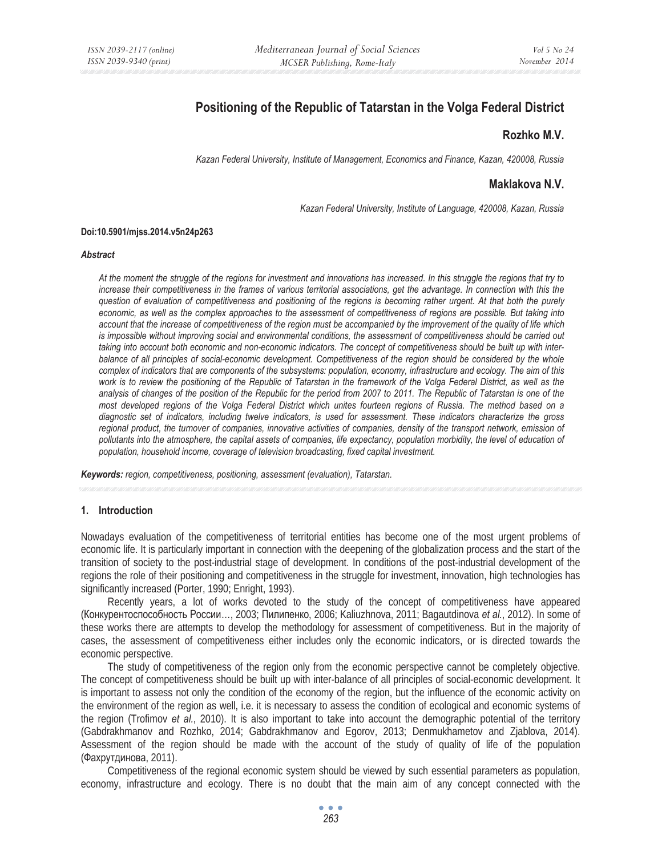# **Positioning of the Republic of Tatarstan in the Volga Federal District**

## **Rozhko M.V.**

*Kazan Federal University, Institute of Management, Economics and Finance, Kazan, 420008, Russia* 

# **Maklakova N.V.**

*Kazan Federal University, Institute of Language, 420008, Kazan, Russia* 

#### **Doi:10.5901/mjss.2014.v5n24p263**

#### *Abstract*

*At the moment the struggle of the regions for investment and innovations has increased. In this struggle the regions that try to increase their competitiveness in the frames of various territorial associations, get the advantage. In connection with this the question of evaluation of competitiveness and positioning of the regions is becoming rather urgent. At that both the purely economic, as well as the complex approaches to the assessment of competitiveness of regions are possible. But taking into account that the increase of competitiveness of the region must be accompanied by the improvement of the quality of life which*  is impossible without improving social and environmental conditions, the assessment of competitiveness should be carried out *taking into account both economic and non-economic indicators. The concept of competitiveness should be built up with inter*balance of all principles of social-economic development. Competitiveness of the region should be considered by the whole *complex of indicators that are components of the subsystems: population, economy, infrastructure and ecology. The aim of this work is to review the positioning of the Republic of Tatarstan in the framework of the Volga Federal District, as well as the analysis of changes of the position of the Republic for the period from 2007 to 2011. The Republic of Tatarstan is one of the most developed regions of the Volga Federal District which unites fourteen regions of Russia. The method based on a diagnostic set of indicators, including twelve indicators, is used for assessment. These indicators characterize the gross*  regional product, the turnover of companies, innovative activities of companies, density of the transport network, emission of *pollutants into the atmosphere, the capital assets of companies, life expectancy, population morbidity, the level of education of population, household income, coverage of television broadcasting, fixed capital investment.* 

*Keywords: region, competitiveness, positioning, assessment (evaluation), Tatarstan.*

#### **1. Introduction**

Nowadays evaluation of the competitiveness of territorial entities has become one of the most urgent problems of economic life. It is particularly important in connection with the deepening of the globalization process and the start of the transition of society to the post-industrial stage of development. In conditions of the post-industrial development of the regions the role of their positioning and competitiveness in the struggle for investment, innovation, high technologies has significantly increased (Porter, 1990; Enright, 1993).

Recently years, a lot of works devoted to the study of the concept of competitiveness have appeared (Конкурентоспособность России..., 2003; Пилипенко, 2006; Kaliuzhnova, 2011; Bagautdinova *et al.*, 2012). In some of these works there are attempts to develop the methodology for assessment of competitiveness. But in the majority of cases, the assessment of competitiveness either includes only the economic indicators, or is directed towards the economic perspective.

The study of competitiveness of the region only from the economic perspective cannot be completely objective. The concept of competitiveness should be built up with inter-balance of all principles of social-economic development. It is important to assess not only the condition of the economy of the region, but the influence of the economic activity on the environment of the region as well, i.e. it is necessary to assess the condition of ecological and economic systems of the region (Trofimov *et al.*, 2010). It is also important to take into account the demographic potential of the territory (Gabdrakhmanov and Rozhko, 2014; Gabdrakhmanov and Egorov, 2013; Denmukhametov and Zjablova, 2014). Assessment of the region should be made with the account of the study of quality of life of the population (Фахрутдинова, 2011).

Competitiveness of the regional economic system should be viewed by such essential parameters as population, economy, infrastructure and ecology. There is no doubt that the main aim of any concept connected with the

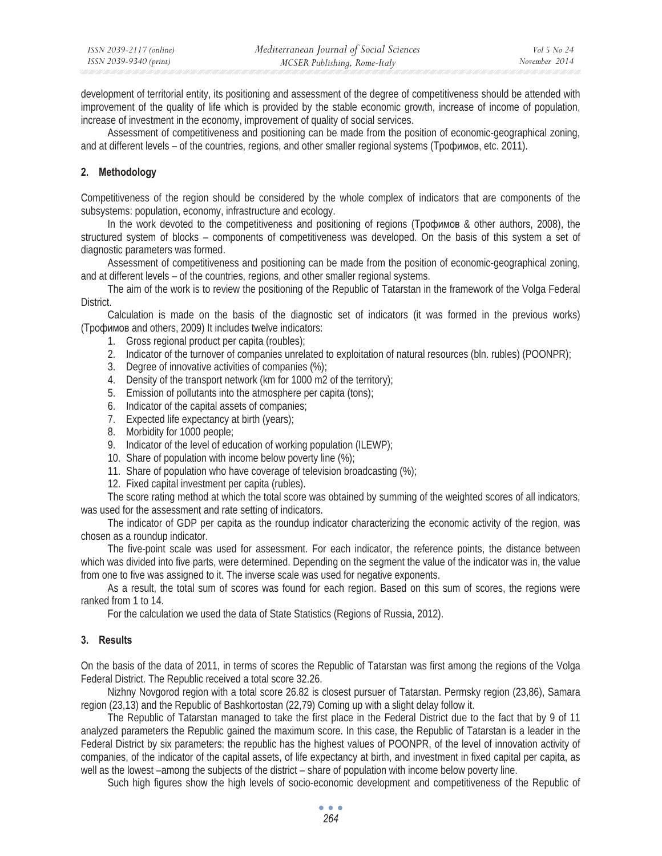development of territorial entity, its positioning and assessment of the degree of competitiveness should be attended with improvement of the quality of life which is provided by the stable economic growth, increase of income of population, increase of investment in the economy, improvement of quality of social services.

Assessment of competitiveness and positioning can be made from the position of economic-geographical zoning, and at different levels – of the countries, regions, and other smaller regional systems (Трофимов, etc. 2011).

# **2. Methodology**

Competitiveness of the region should be considered by the whole complex of indicators that are components of the subsystems: population, economy, infrastructure and ecology.

In the work devoted to the competitiveness and positioning of regions ( $Topophm$ obe & other authors, 2008), the structured system of blocks – components of competitiveness was developed. On the basis of this system a set of diagnostic parameters was formed.

Assessment of competitiveness and positioning can be made from the position of economic-geographical zoning, and at different levels – of the countries, regions, and other smaller regional systems.

The aim of the work is to review the positioning of the Republic of Tatarstan in the framework of the Volga Federal District.

Calculation is made on the basis of the diagnostic set of indicators (it was formed in the previous works) (Трофимов and others, 2009) It includes twelve indicators:

- 1. Gross regional product per capita (roubles);
- 2. Indicator of the turnover of companies unrelated to exploitation of natural resources (bln. rubles) (POONPR);
- 3. Degree of innovative activities of companies (%);
- 4. Density of the transport network (km for 1000 m2 of the territory);
- 5. Emission of pollutants into the atmosphere per capita (tons);
- 6. Indicator of the capital assets of companies;
- 7. Expected life expectancy at birth (years);
- 8. Morbidity for 1000 people;
- 9. Indicator of the level of education of working population (ILEWP);
- 10. Share of population with income below poverty line (%);
- 11. Share of population who have coverage of television broadcasting (%);
- 12. Fixed capital investment per capita (rubles).

The score rating method at which the total score was obtained by summing of the weighted scores of all indicators, was used for the assessment and rate setting of indicators.

The indicator of GDP per capita as the roundup indicator characterizing the economic activity of the region, was chosen as a roundup indicator.

The five-point scale was used for assessment. For each indicator, the reference points, the distance between which was divided into five parts, were determined. Depending on the segment the value of the indicator was in, the value from one to five was assigned to it. The inverse scale was used for negative exponents.

As a result, the total sum of scores was found for each region. Based on this sum of scores, the regions were ranked from 1 to 14.

For the calculation we used the data of State Statistics (Regions of Russia, 2012).

## **3. Results**

On the basis of the data of 2011, in terms of scores the Republic of Tatarstan was first among the regions of the Volga Federal District. The Republic received a total score 32.26.

Nizhny Novgorod region with a total score 26.82 is closest pursuer of Tatarstan. Permsky region (23,86), Samara region (23,13) and the Republic of Bashkortostan (22,79) Coming up with a slight delay follow it.

The Republic of Tatarstan managed to take the first place in the Federal District due to the fact that by 9 of 11 analyzed parameters the Republic gained the maximum score. In this case, the Republic of Tatarstan is a leader in the Federal District by six parameters: the republic has the highest values of POONPR, of the level of innovation activity of companies, of the indicator of the capital assets, of life expectancy at birth, and investment in fixed capital per capita, as well as the lowest –among the subjects of the district – share of population with income below poverty line.

Such high figures show the high levels of socio-economic development and competitiveness of the Republic of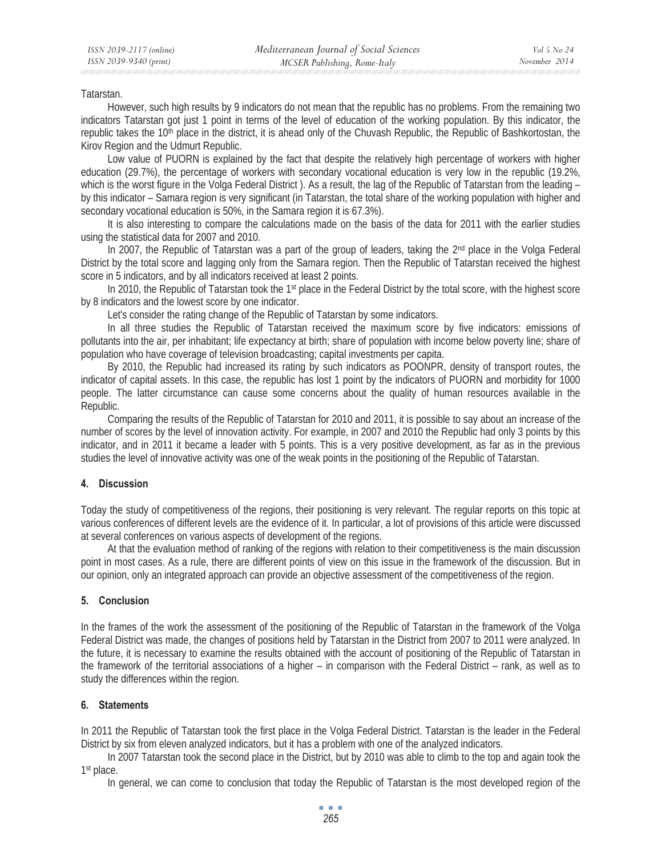#### Tatarstan.

However, such high results by 9 indicators do not mean that the republic has no problems. From the remaining two indicators Tatarstan got just 1 point in terms of the level of education of the working population. By this indicator, the republic takes the 10th place in the district, it is ahead only of the Chuvash Republic, the Republic of Bashkortostan, the Kirov Region and the Udmurt Republic.

Low value of PUORN is explained by the fact that despite the relatively high percentage of workers with higher education (29.7%), the percentage of workers with secondary vocational education is very low in the republic (19.2%, which is the worst figure in the Volga Federal District). As a result, the lag of the Republic of Tatarstan from the leading – by this indicator – Samara region is very significant (in Tatarstan, the total share of the working population with higher and secondary vocational education is 50%, in the Samara region it is 67.3%).

It is also interesting to compare the calculations made on the basis of the data for 2011 with the earlier studies using the statistical data for 2007 and 2010.

In 2007, the Republic of Tatarstan was a part of the group of leaders, taking the 2<sup>nd</sup> place in the Volga Federal District by the total score and lagging only from the Samara region. Then the Republic of Tatarstan received the highest score in 5 indicators, and by all indicators received at least 2 points.

In 2010, the Republic of Tatarstan took the 1<sup>st</sup> place in the Federal District by the total score, with the highest score by 8 indicators and the lowest score by one indicator.

Let's consider the rating change of the Republic of Tatarstan by some indicators.

In all three studies the Republic of Tatarstan received the maximum score by five indicators: emissions of pollutants into the air, per inhabitant; life expectancy at birth; share of population with income below poverty line; share of population who have coverage of television broadcasting; capital investments per capita.

By 2010, the Republic had increased its rating by such indicators as POONPR, density of transport routes, the indicator of capital assets. In this case, the republic has lost 1 point by the indicators of PUORN and morbidity for 1000 people. The latter circumstance can cause some concerns about the quality of human resources available in the Republic.

Comparing the results of the Republic of Tatarstan for 2010 and 2011, it is possible to say about an increase of the number of scores by the level of innovation activity. For example, in 2007 and 2010 the Republic had only 3 points by this indicator, and in 2011 it became a leader with 5 points. This is a very positive development, as far as in the previous studies the level of innovative activity was one of the weak points in the positioning of the Republic of Tatarstan.

## **4. Discussion**

Today the study of competitiveness of the regions, their positioning is very relevant. The regular reports on this topic at various conferences of different levels are the evidence of it. In particular, a lot of provisions of this article were discussed at several conferences on various aspects of development of the regions.

At that the evaluation method of ranking of the regions with relation to their competitiveness is the main discussion point in most cases. As a rule, there are different points of view on this issue in the framework of the discussion. But in our opinion, only an integrated approach can provide an objective assessment of the competitiveness of the region.

## **5. Conclusion**

In the frames of the work the assessment of the positioning of the Republic of Tatarstan in the framework of the Volga Federal District was made, the changes of positions held by Tatarstan in the District from 2007 to 2011 were analyzed. In the future, it is necessary to examine the results obtained with the account of positioning of the Republic of Tatarstan in the framework of the territorial associations of a higher – in comparison with the Federal District – rank, as well as to study the differences within the region.

## **6. Statements**

In 2011 the Republic of Tatarstan took the first place in the Volga Federal District. Tatarstan is the leader in the Federal District by six from eleven analyzed indicators, but it has a problem with one of the analyzed indicators.

In 2007 Tatarstan took the second place in the District, but by 2010 was able to climb to the top and again took the 1<sup>st</sup> place.

In general, we can come to conclusion that today the Republic of Tatarstan is the most developed region of the